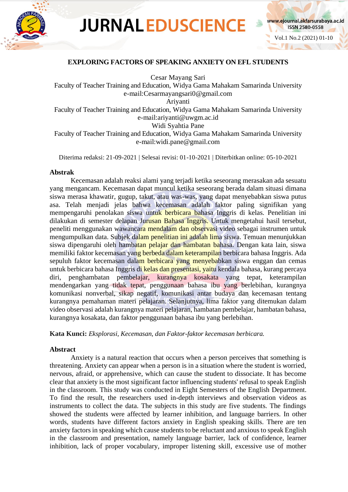

# **JURNAL EDUSCIENCE**



# **EXPLORING FACTORS OF SPEAKING ANXIETY ON EFL STUDENTS**

Cesar Mayang Sari Faculty of Teacher Training and Education, Widya Gama Mahakam Samarinda University e-mail:Cesarmayangsari0@gmail.com Ariyanti Faculty of Teacher Training and Education, Widya Gama Mahakam Samarinda University e-mail:ariyanti@uwgm.ac.id Widi Syahtia Pane Faculty of Teacher Training and Education, Widya Gama Mahakam Samarinda University e-mail:widi.pane@gmail.com

Diterima redaksi: 21-09-2021 | Selesai revisi: 01-10-2021 | Diterbitkan online: 05-10-2021

# **Abstrak**

Kecemasan adalah reaksi alami yang terjadi ketika seseorang merasakan ada sesuatu yang mengancam. Kecemasan dapat muncul ketika seseorang berada dalam situasi dimana siswa merasa khawatir, gugup, takut, atau was-was, yang dapat menyebabkan siswa putus asa. Telah menjadi jelas bahwa kecemasan adalah faktor paling signifikan yang mempengaruhi penolakan siswa untuk berbicara bahasa Inggris di kelas. Penelitian ini dilakukan di semester delapan Jurusan Bahasa Inggris. Untuk mengetahui hasil tersebut, peneliti menggunakan wawancara mendalam dan observasi video sebagai instrumen untuk mengumpulkan data. Subjek dalam penelitian ini adalah lima siswa. Temuan menunjukkan siswa dipengaruhi oleh hambatan pelajar dan hambatan bahasa. Dengan kata lain, siswa memiliki faktor kecemasan yang berbeda dalam keterampilan berbicara bahasa Inggris. Ada sepuluh faktor kecemasan dalam berbicara yang menyebabkan siswa enggan dan cemas untuk berbicara bahasa Inggris di kelas dan presentasi, yaitu kendala bahasa, kurang percaya diri, penghambatan pembelajar, kurangnya kosakata yang tepat, keterampilan mendengarkan yang tidak tepat, penggunaan bahasa ibu yang berlebihan, kurangnya komunikasi nonverbal, sikap negatif, komunikasi antar budaya dan kecemasan tentang kurangnya pemahaman materi pelajaran. Selanjutnya, lima faktor yang ditemukan dalam video observasi adalah kurangnya materi pelajaran, hambatan pembelajar, hambatan bahasa, kurangnya kosakata, dan faktor penggunaan bahasa ibu yang berlebihan.

**Kata Kunci:** *Eksplorasi, Kecemasan, dan Faktor-faktor kecemasan berbicara.*

## **Abstract**

Anxiety is a natural reaction that occurs when a person perceives that something is threatening. Anxiety can appear when a person is in a situation where the student is worried, nervous, afraid, or apprehensive, which can cause the student to dissociate. It has become clear that anxiety is the most significant factor influencing students' refusal to speak English in the classroom. This study was conducted in Eight Semesters of the English Department. To find the result, the researchers used in-depth interviews and observation videos as instruments to collect the data. The subjects in this study are five students. The findings showed the students were affected by learner inhibition, and language barriers. In other words, students have different factors anxiety in English speaking skills. There are ten anxiety factors in speaking which cause students to be reluctant and anxious to speak English in the classroom and presentation, namely language barrier, lack of confidence, learner inhibition, lack of proper vocabulary, improper listening skill, excessive use of mother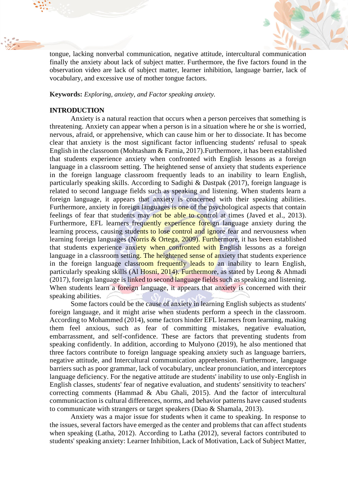

tongue, lacking nonverbal communication, negative attitude, intercultural communication finally the anxiety about lack of subject matter. Furthermore, the five factors found in the observation video are lack of subject matter, learner inhibition, language barrier, lack of vocabulary, and excessive use of mother tongue factors.

**Keywords:** *Exploring, anxiety, and Factor speaking anxiety.*

# **INTRODUCTION**

Anxiety is a natural reaction that occurs when a person perceives that something is threatening. Anxiety can appear when a person is in a situation where he or she is worried, nervous, afraid, or apprehensive, which can cause him or her to dissociate. It has become clear that anxiety is the most significant factor influencing students' refusal to speak English in the classroom (Mohtasham & Farnia, 2017).Furthermore, it has been established that students experience anxiety when confronted with English lessons as a foreign language in a classroom setting. The heightened sense of anxiety that students experience in the foreign language classroom frequently leads to an inability to learn English, particularly speaking skills. According to Sadighi & Dastpak (2017), foreign language is related to second language fields such as speaking and listening. When students learn a foreign language, it appears that anxiety is concerned with their speaking abilities. Furthermore, anxiety in foreign languages is one of the psychological aspects that contain feelings of fear that students may not be able to control at times (Javed et al., 2013). Furthermore, EFL learners frequently experience foreign language anxiety during the learning process, causing students to lose control and ignore fear and nervousness when learning foreign languages (Norris & Ortega, 2009). Furthermore, it has been established that students experience anxiety when confronted with English lessons as a foreign language in a classroom setting. The heightened sense of anxiety that students experience in the foreign language classroom frequently leads to an inability to learn English, particularly speaking skills (Al Hosni, 2014). Furthermore, as stated by Leong & Ahmadi (2017), foreign language is linked to second language fields such as speaking and listening. When students learn a foreign language, it appears that anxiety is concerned with their speaking abilities.  $\ell$ 

Some factors could be the cause of anxiety in learning English subjects as students' foreign language, and it might arise when students perform a speech in the classroom. According to Mohammed (2014), some factors hinder EFL learners from learning, making them feel anxious, such as fear of committing mistakes, negative evaluation, embarrassment, and self-confidence. These are factors that preventing students from speaking confidently. In addition, according to Mulyono (2019), he also mentioned that three factors contribute to foreign language speaking anxiety such as language barriers, negative attitude, and Intercultural communication apprehension. Furthermore, language barriers such as poor grammar, lack of vocabulary, unclear pronunciation, and interceptors language deficiency. For the negative attitude are students' inability to use only-English in English classes, students' fear of negative evaluation, and students' sensitivity to teachers' correcting comments (Hammad & Abu Ghali, 2015). And the factor of intercultural communicaction is cultural differences, norms, and behavior patterns have caused students to communicate with strangers or target speakers (Diao & Shamala, 2013).

Anxiety was a major issue for students when it came to speaking. In response to the issues, several factors have emerged as the center and problems that can affect students when speaking (Latha, 2012). According to Latha (2012), several factors contributed to students' speaking anxiety: Learner Inhibition, Lack of Motivation, Lack of Subject Matter,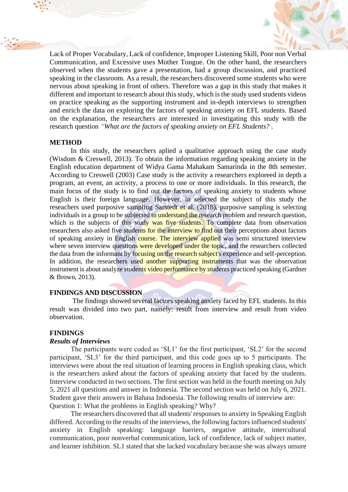

Lack of Proper Vocabulary, Lack of confidence, Improper Listening Skill, Poor non Verbal Communication, and Excessive uses Mother Tongue. On the other hand, the researchers observed when the students gave a presentation, had a group discussion, and practiced speaking in the classroom. As a result, the researchers discovered some students who were nervous about speaking in front of others. Therefore was a gap in this study that makes it different and important to research about this study, which is the study used students videos on practice speaking as the supporting instrument and in-depth interviews to strengthen and enrich the data on exploring the factors of speaking anxiety on EFL students. Based on the explanation, the researchers are interested in investigating this study with the research question *"What are the factors of speaking anxiety on EFL Students? .*

## **METHOD**

In this study, the researchers aplied a qualitative approach using the case study (Wisdom & Creswell, 2013). To obtain the information regarding speaking anxiety in the English education department of Widya Gama Mahakam Samarinda in the 8th semester. According to Creswell (2003) Case study is the activity a researchers exploreed in depth a program, an event, an activity, a process to one or more individuals. In this research, the main focus of the study is to find out the factors of speaking anxiety to students whose English is their foreign language. However, in selected the subject of this study the reseachers used purposive sampling Sarstedt et al. (2018), purposive sampling is selecting individuals in a group to be subjected to understand the research problem and research question, which is the subjects of this study was five students. To complete data from observation researchers also asked five students for the interview to find out their perceptions about factors of speaking anxiety in English course. The interview applied was semi structured interview where seven interview questions were developed under the topic, and the researchers collected the data from the informant by focusing on the research subject's experience and self-perception. In addition, the researchers used another supporting instruments that was the observation instrument is about analyze students video performance by students practiced speaking (Gardner & Brown, 2013).

# **FINDINGS AND DISCUSSION**

The findings showed several factors speaking anxiety faced by EFL students. In this result was divided into two part, namely: result from interview and result from video observation.

# **FINDINGS**

## *Results of Interviews*

The participants were coded as 'SL1' for the first participant, 'SL2' for the second participant, 'SL3' for the third participant, and this code goes up to 5 participants. The interviews were about the real situation of learning process in English speaking class, which is the researchers asked about the factors of speaking anxiety that faced by the students. Interview conducted in two sections. The first section was held in the fourth meeting on July 5, 2021 all questions and answer in Indonesia. The second section was held on July 6, 2021. Student gave their answers in Bahasa Indonesia. The following results of interview are: Question 1: What the problems in English speaking? Why?

The researchers discovered that all students' responses to anxiety in Speaking English differed. According to the results of the interviews, the following factors influenced students' anxiety in English speaking: language barriers, negative attitude, intercultural communication, poor nonverbal communication, lack of confidence, lack of subject matter, and learner inhibition. SL1 stated that she lacked vocabulary because she was always unsure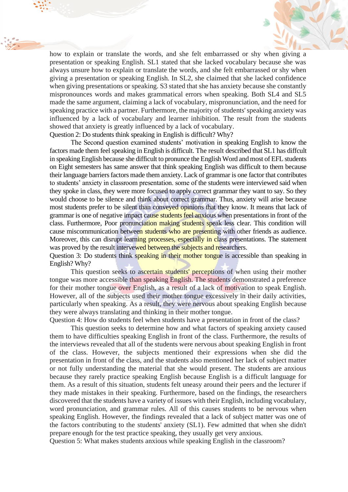

how to explain or translate the words, and she felt embarrassed or shy when giving a presentation or speaking English. SL1 stated that she lacked vocabulary because she was always unsure how to explain or translate the words, and she felt embarrassed or shy when giving a presentation or speaking English. In SL2, she claimed that she lacked confidence when giving presentations or speaking. S3 stated that she has anxiety because she constantly mispronounces words and makes grammatical errors when speaking. Both SL4 and SL5 made the same argument, claiming a lack of vocabulary, mispronunciation, and the need for speaking practice with a partner. Furthermore, the majority of students' speaking anxiety was influenced by a lack of vocabulary and learner inhibition. The result from the students showed that anxiety is greatly influenced by a lack of vocabulary. Question 2: Do students think speaking in English is difficult? Why?

The Second question examined students' motivation in speaking English to know the factors made them feel speaking in English is difficult. The result described that SL1 has diffcult in speaking English because she difficult to pronunce the English Word and most of EFL students on Eight semesters has same answer that think speaking English was difficult to them because their language barriers factors made them anxiety. Lack of grammar is one factor that contributes to students' anxiety in classroom presentation. some of the students were interviewed said when they spoke in class, they were more focused to apply correct grammar they want to say. So they would choose to be silence and think about correct grammar. Thus, anxiety will arise because most students prefer to be silent than conveyed opinions that they know. It means that lack of grammar is one of negative impact cause students feel anxious when presentations in front of the class. Furthermore, Poor pronunciation making students speak less clear. This condition will cause miscommunication between students who are presenting with other friends as audience. Moreover, this can disrupt learning processes, especially in class presentations. The statement was proved by the result intervewed between the subjects and researchers.

Question 3: Do students think speaking in their mother tongue is accessible than speaking in English? Why?

This question seeks to ascertain students' perceptions of when using their mother tongue was more accessible than speaking English. The students demonstrated a preference for their mother tongue over English, as a result of a lack of motivation to speak English. However, all of the subjects used their mother tongue excessively in their daily activities, particularly when speaking. As a result, they were nervous about speaking English because they were always translating and thinking in their mother tongue.

Question 4: How do students feel when students have a presentation in front of the class?

This question seeks to determine how and what factors of speaking anxiety caused them to have difficulties speaking English in front of the class. Furthermore, the results of the interviews revealed that all of the students were nervous about speaking English in front of the class. However, the subjects mentioned their expressions when she did the presentation in front of the class, and the students also mentioned her lack of subject matter or not fully understanding the material that she would present. The students are anxious because they rarely practice speaking English because English is a difficult language for them. As a result of this situation, students felt uneasy around their peers and the lecturer if they made mistakes in their speaking. Furthermore, based on the findings, the researchers discovered that the students have a variety of issues with their English, including vocabulary, word pronunciation, and grammar rules. All of this causes students to be nervous when speaking English. However, the findings revealed that a lack of subject matter was one of the factors contributing to the students' anxiety (SL1). Few admitted that when she didn't prepare enough for the test practice speaking, they usually get very anxious.

Question 5: What makes students anxious while speaking English in the classroom?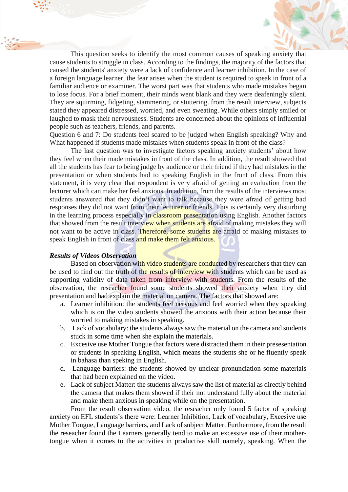

This question seeks to identify the most common causes of speaking anxiety that cause students to struggle in class. According to the findings, the majority of the factors that caused the students' anxiety were a lack of confidence and learner inhibition. In the case of a foreign language learner, the fear arises when the student is required to speak in front of a familiar audience or examiner. The worst part was that students who made mistakes began to lose focus. For a brief moment, their minds went blank and they were deafeningly silent. They are squirming, fidgeting, stammering, or stuttering. from the result interview, subjects stated they appeared distressed, worried, and even sweating. While others simply smiled or laughed to mask their nervousness. Students are concerned about the opinions of influential people such as teachers, friends, and parents.

Question 6 and 7: Do students feel scared to be judged when English speaking? Why and What happened if students made mistakes when students speak in front of the class?

The last question was to investigate factors speaking anxiety students' about how they feel when their made mistakes in front of the class. In addition, the result showed that all the students has fear to being judge by audience or their friend if they had mistakes in the presentation or when students had to speaking English in the front of class. From this statement, it is very clear that respondent is very afraid of getting an evaluation from the lecturer which can make her feel anxious. In addition, from the results of the interviews most students answered that they didn't want to talk because they were afraid of getting bad responses they did not want from their lecturer or friends. This is certainly very disturbing in the learning process especially in classroom presentation using English. Another factors that showed from the result interview when students are afraid of making mistakes they will not want to be active in class. Therefore, some students are afraid of making mistakes to speak English in front of class and make them felt anxious.

## *Results of Videos Observation*

Based on observation with video students are conducted by researchers that they can be used to find out the truth of the results of interview with students which can be used as supporting validity of data taken from interview with students. From the results of the observation, the reseacher found some students showed their anxiety when they did presentation and had explain the material on camera. The factors that showed are:

- a. Learner inhibition: the students feel nervous and feel worried when they speaking which is on the video students showed the anxious with their action because their worried to making mistakes in speaking.
- b. Lack of vocabulary: the students always saw the material on the camera and students stuck in some time when she explain the materials.
- c. Excesive use Mother Tongue that factors were distracted them in their presesentation or students in speaking English, which means the students she or he fluently speak in bahasa than speking in English.
- d. Language barriers: the students showed by unclear pronunciation some materials that had been explained on the video.
- e. Lack of subject Matter: the students always saw the list of material as directly behind the camera that makes them showed if their not understand fully about the material and make them anxious in speaking while on the presentation.

From the result observation video, the reseacher only found 5 factor of speaking anxiety on EFL students's there were: Learner Inhibition, Lack of vocabulary, Excesive use Mother Tongue, Language barriers, and Lack of subject Matter. Furthermore, from the result the reseacher found the Learners generally tend to make an excessive use of their mothertongue when it comes to the activities in productive skill namely, speaking. When the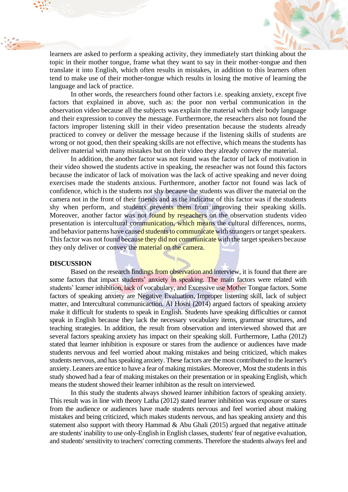

learners are asked to perform a speaking activity, they immediately start thinking about the topic in their mother tongue, frame what they want to say in their mother-tongue and then translate it into English, which often results in mistakes, in addition to this learners often tend to make use of their mother-tongue which results in losing the motive of learning the language and lack of practice.

In other words, the researchers found other factors i.e. speaking anxiety, except five factors that explained in above, such as: the poor non verbal communication in the observation video because all the subjects was explain the material with their body language and their expression to convey the message. Furthermore, the reseachers also not found the factors improper listening skill in their video presentation because the students already practiced to convey or deliver the message because if the listening skills of students are wrong or not good, then their speaking skills are not effective, which means the students has deliver material with many mistakes but on their video they already convey the material.

In addition, the another factor was not found was the factor of lack of motivation in their video showed the students active in speaking, the reseacher was not found this factors because the indicator of lack of moivation was the lack of active speaking and never doing exercises made the students anxious. Furthermore, another factor not found was lack of confidence, which is the students not shy because the students was dliver the material on the camera not in the front of their friends and as the indicator of this factor was if the students shy when perform, and students prevents them from improving their speaking skills. Moreover, another factor was not found by reseachers on the observation students video presentation is intercultural communication, which means the cultural differences, norms, and behavior patterns have caused students to communicate with strangers or target speakers. This factor was not found because they did not communicate with the target speakers because they only deliver or convey the material on the camera.

#### **DISCUSSION**

Based on the research findings from observation and interview, it is found that there are some factors that impact students' anxiety in speaking. The main factors were related with students' learner inhibition, lack of vocabulary, and Excessive use Mother Tongue factors. Some factors of speaking anxiety are Negative Evaluation, Improper listening skill, lack of subject matter, and Intercultural communicaction. Al Hosni (2014) argued factors of speaking anxiety make it difficult for students to speak in English. Students have speaking difficulties or cannot speak in English because they lack the necessary vocabulary items, grammar structures, and teaching strategies. In addition, the result from observation and interviewed showed that are several factors speaking anxiety has impact on their speaking skill. Furthermore, Latha (2012) stated that learner inhibition is exposure or stares from the audience or audiences have made students nervous and feel worried about making mistakes and being criticized, which makes students nervous, and has speaking anxiety. These factors are the most contributed to the learner's anxiety. Leaners are entice to have a fear of making mistakes. Moreover, Most the students in this study showed had a fear of making mistakes on their presentation or in speaking English, which means the student showed their learner inhibiton as the result on interviewed.

In this study the students always showed learner inhibition factors of speaking anxiety. This result was in line with theory Latha (2012) stated learner inhibition was exposure or stares from the audience or audiences have made students nervous and feel worried about making mistakes and being criticized, which makes students nervous, and has speaking anxiety and this statement also support with theory Hammad  $&$  Abu Ghali (2015) argued that negative attitude are students' inability to use only-English in English classes, students' fear of negative evaluation, and students' sensitivity to teachers' correcting comments. Therefore the students always feel and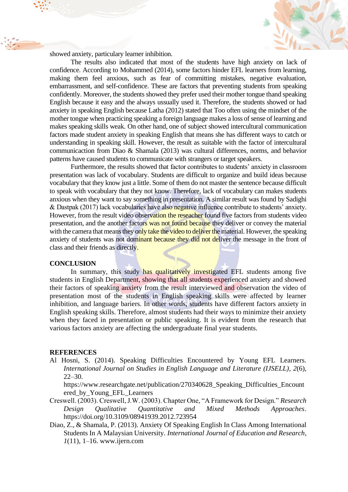

showed anxiety, particulary learner inhibition.

The results also indicated that most of the students have high anxiety on lack of confidence. According to Mohammed (2014), some factors hinder EFL learners from learning, making them feel anxious, such as fear of committing mistakes, negative evaluation, embarrassment, and self-confidence. These are factors that preventing students from speaking confidently. Moreover, the students showed they prefer used their mother tongue thand speaking English because it easy and the always ussually used it. Therefore, the students showed or had anxiety in speaking English because Latha (2012) stated that Too often using the mindset of the mother tongue when practicing speaking a foreign language makes a loss of sense of learning and makes speaking skills weak. On other hand, one of subject showed intercultural communication factors made student anxiety in speaking English that means she has different ways to catch or understanding in speaking skill. However, the result as suitable with the factor of intercultural communicaction from Diao & Shamala (2013) was cultural differences, norms, and behavior patterns have caused students to communicate with strangers or target speakers.

Furthermore, the results showed that factor contributes to students' anxiety in classroom presentation was lack of vocabulary. Students are difficult to organize and build ideas because vocabulary that they know just a little. Some of them do not master the sentence because difficult to speak with vocabulary that they not know. Therefore, lack of vocabulary can makes students anxious when they want to say something in presentation. A similar result was found by Sadighi & Dastpak (2017) lack vocabularies have also negative influence contribute to students' anxiety. However, from the result video observation the reseacher found five factors from students video presentation, and the another factors was not found because they deliver or convey the material with the camera that means they only take the video to deliver the material. However, the speaking anxiety of students was not dominant because they did not deliver the message in the front of class and their friends as directly.

#### **CONCLUSION**

In summary, this study has qualitatively investigated EFL students among five students in English Department, showing that all students experienced anxiety and showed their factors of speaking anxiety from the result interviewed and observation the video of presentation most of the students in English speaking skills were affected by learner inhibition, and language bariers. In other words, students have different factors anxiety in English speaking skills. Therefore, almost students had their ways to minimize their anxiety when they faced in presentation or public speaking. It is evident from the research that various factors anxiety are affecting the undergraduate final year students.

#### **REFERENCES**

Al Hosni, S. (2014). Speaking Difficulties Encountered by Young EFL Learners. *International Journal on Studies in English Language and Literature (IJSELL)*, *2*(6), 22–30.

https://www.researchgate.net/publication/270340628\_Speaking\_Difficulties\_Encount ered\_by\_Young\_EFL\_Learners

- Creswell. (2003). Creswell, J.W. (2003). Chapter One, "A Framework for Design." *Research Design Qualitative Quantitative and Mixed Methods Approaches*. https://doi.org/10.3109/08941939.2012.723954
- Diao, Z., & Shamala, P. (2013). Anxiety Of Speaking English In Class Among International Students In A Malaysian University. *International Journal of Education and Research*, *1*(11), 1–16. www.ijern.com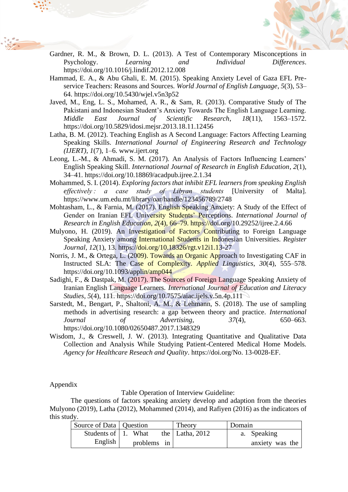

- Gardner, R. M., & Brown, D. L. (2013). A Test of Contemporary Misconceptions in Psychology. *Learning and Individual Differences*. https://doi.org/10.1016/j.lindif.2012.12.008
- Hammad, E. A., & Abu Ghali, E. M. (2015). Speaking Anxiety Level of Gaza EFL Preservice Teachers: Reasons and Sources. *World Journal of English Language*, *5*(3), 53– 64. https://doi.org/10.5430/wjel.v5n3p52
- Javed, M., Eng, L. S., Mohamed, A. R., & Sam, R. (2013). Comparative Study of The Pakistani and Indonesian Student's Anxiety Towards The English Language Learning. *Middle East Journal of Scientific Research*, *18*(11), 1563–1572. https://doi.org/10.5829/idosi.mejsr.2013.18.11.12456
- Latha, B. M. (2012). Teaching English as A Second Language: Factors Affecting Learning Speaking Skills. *International Journal of Engineering Research and Technology (IJERT)*, *1*(7), 1–6. www.ijert.org
- Leong, L.-M., & Ahmadi, S. M. (2017). An Analysis of Factors Influencing Learners' English Speaking Skill. *International Journal of Research in English Education*, *2*(1), 34–41. https://doi.org/10.18869/acadpub.ijree.2.1.34
- Mohammed, S. I. (2014). *Exploring factors that inhibit EFL learners from speaking English effectively : a case study of Libyan students* [University of Malta]. https://www.um.edu.mt/library/oar/handle/123456789/2748
- Mohtasham, L., & Farnia, M. (2017). English Speaking Anxiety: A Study of the Effect of Gender on Iranian EFL University Students' Perceptions. *International Journal of Research in English Education*, *2*(4), 66–79. https://doi.org/10.29252/ijree.2.4.66
- Mulyono, H. (2019). An Investigation of Factors Contributing to Foreign Language Speaking Anxiety among International Students in Indonesian Universities. *Register Journal*, *12*(1), 13. https://doi.org/10.18326/rgt.v12i1.13-27
- Norris, J. M., & Ortega, L. (2009). Towards an Organic Approach to Investigating CAF in Instructed SLA: The Case of Complexity. *Applied Linguistics*, *30*(4), 555–578. https://doi.org/10.1093/applin/amp044
- Sadighi, F., & Dastpak, M. (2017). The Sources of Foreign Language Speaking Anxiety of Iranian English Language Learners. *International Journal of Education and Literacy Studies*, *5*(4), 111. https://doi.org/10.7575/aiac.ijels.v.5n.4p.111
- Sarstedt, M., Bengart, P., Shaltoni, A. M., & Lehmann, S. (2018). The use of sampling methods in advertising research: a gap between theory and practice. *International Journal of Advertising*, *37*(4), 650–663. https://doi.org/10.1080/02650487.2017.1348329
- Wisdom, J., & Creswell, J. W. (2013). Integrating Quantitative and Qualitative Data Collection and Analysis While Studying Patient-Centered Medical Home Models. *Agency for Healthcare Reseach and Quality*. https://doi.org/No. 13-0028-EF.

## Appendix

Table Operation of Interview Guideline:

The questions of factors speaking anxiety develop and adaption from the theories Mulyono (2019), Latha (2012), Mohammed (2014), and Rafiyen (2016) as the indicators of this study.

| Source of Data   Question |             | Theory              | Domain          |
|---------------------------|-------------|---------------------|-----------------|
| Students of 1. What       |             | the   Latha, $2012$ | a. Speaking     |
| English                   | problems in |                     | anxiety was the |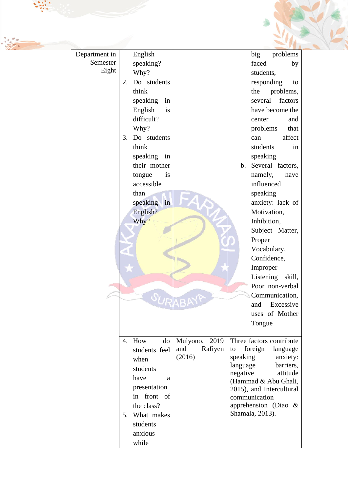| Department in<br>Semester<br>Eight | English<br>speaking?<br>Why?<br>Do students<br>2.<br>think<br>speaking<br>in<br>is<br>English<br>difficult?<br>Why?<br>Do students<br>3.<br>think<br>speaking in<br>their mother<br>tongue<br>is<br>accessible<br>than<br>speaking in<br>English?<br>Why? | <b>URABAY</b>                                | big<br>problems<br>faced<br>by<br>students,<br>responding<br>to<br>the<br>problems,<br>several<br>factors<br>have become the<br>center<br>and<br>problems<br>that<br>affect<br>can<br>students<br>in<br>speaking<br>b. Several factors,<br>namely,<br>have<br>influenced<br>speaking<br>anxiety: lack of<br>Motivation,<br>Inhibition,<br>Subject Matter,<br>Proper<br>Vocabulary,<br>Confidence,<br>Improper<br>Listening<br>skill,<br>Poor non-verbal<br>Communication,<br>and<br>Excessive<br>uses of Mother<br>Tongue |  |
|------------------------------------|-----------------------------------------------------------------------------------------------------------------------------------------------------------------------------------------------------------------------------------------------------------|----------------------------------------------|---------------------------------------------------------------------------------------------------------------------------------------------------------------------------------------------------------------------------------------------------------------------------------------------------------------------------------------------------------------------------------------------------------------------------------------------------------------------------------------------------------------------------|--|
|                                    | 4. How<br>do<br>students feel<br>when<br>students<br>have<br>a<br>presentation<br>in front of<br>the class?<br>What makes<br>5.<br>students<br>anxious<br>while                                                                                           | 2019<br>Mulyono,<br>Rafiyen<br>and<br>(2016) | Three factors contribute<br>foreign<br>language<br>to<br>speaking<br>anxiety:<br>language<br>barriers,<br>negative<br>attitude<br>(Hammad & Abu Ghali,<br>2015), and Intercultural<br>communication<br>apprehension (Diao $\&$<br>Shamala, 2013).                                                                                                                                                                                                                                                                         |  |